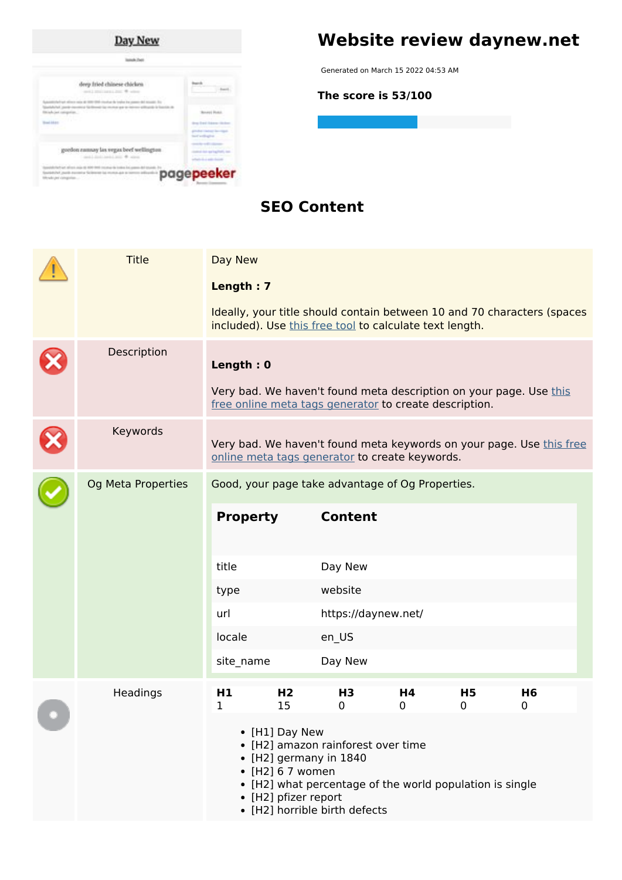

# **Website review daynew.net**

Generated on March 15 2022 04:53 AM

**The score is 53/100**

### **SEO Content**

|  | <b>Title</b>       | Day New             |                                                                    |                                                                                                                                                           |         |                |                                                                         |  |
|--|--------------------|---------------------|--------------------------------------------------------------------|-----------------------------------------------------------------------------------------------------------------------------------------------------------|---------|----------------|-------------------------------------------------------------------------|--|
|  |                    | Length: 7           |                                                                    |                                                                                                                                                           |         |                |                                                                         |  |
|  |                    |                     |                                                                    | included). Use this free tool to calculate text length.                                                                                                   |         |                | Ideally, your title should contain between 10 and 70 characters (spaces |  |
|  | Description        | Length: 0           |                                                                    |                                                                                                                                                           |         |                |                                                                         |  |
|  |                    |                     |                                                                    | free online meta tags generator to create description.                                                                                                    |         |                | Very bad. We haven't found meta description on your page. Use this      |  |
|  | Keywords           |                     |                                                                    | online meta tags generator to create keywords.                                                                                                            |         |                | Very bad. We haven't found meta keywords on your page. Use this free    |  |
|  | Og Meta Properties |                     |                                                                    | Good, your page take advantage of Og Properties.                                                                                                          |         |                |                                                                         |  |
|  |                    | <b>Property</b>     |                                                                    | <b>Content</b>                                                                                                                                            |         |                |                                                                         |  |
|  |                    | title               |                                                                    | Day New                                                                                                                                                   |         |                |                                                                         |  |
|  |                    | type                |                                                                    | website                                                                                                                                                   |         |                |                                                                         |  |
|  |                    | url                 |                                                                    | https://daynew.net/                                                                                                                                       |         |                |                                                                         |  |
|  |                    | locale              |                                                                    | en_US                                                                                                                                                     |         |                |                                                                         |  |
|  |                    | site name           |                                                                    | Day New                                                                                                                                                   |         |                |                                                                         |  |
|  | Headings           | H <sub>1</sub><br>1 | H <sub>2</sub><br>15                                               | H <sub>3</sub><br>0                                                                                                                                       | H4<br>0 | <b>H5</b><br>0 | H <sub>6</sub><br>0                                                     |  |
|  |                    |                     | • [H1] Day New<br>$\bullet$ [H2] 6 7 women<br>• [H2] pfizer report | • [H2] amazon rainforest over time<br>• [H2] germany in 1840<br>• [H2] what percentage of the world population is single<br>• [H2] horrible birth defects |         |                |                                                                         |  |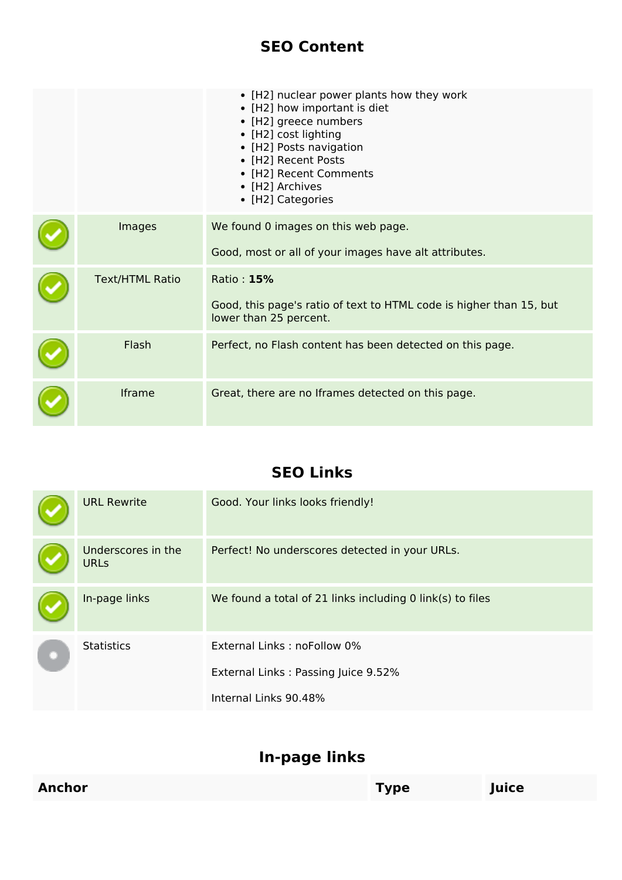### **SEO Content**

|                        | • [H2] nuclear power plants how they work<br>• [H2] how important is diet<br>• [H2] greece numbers<br>• [H2] cost lighting<br>• [H2] Posts navigation<br>• [H2] Recent Posts<br>• [H2] Recent Comments<br>• [H2] Archives<br>• [H2] Categories |
|------------------------|------------------------------------------------------------------------------------------------------------------------------------------------------------------------------------------------------------------------------------------------|
| Images                 | We found 0 images on this web page.<br>Good, most or all of your images have alt attributes.                                                                                                                                                   |
| <b>Text/HTML Ratio</b> | Ratio: 15%<br>Good, this page's ratio of text to HTML code is higher than 15, but<br>lower than 25 percent.                                                                                                                                    |
| Flash                  | Perfect, no Flash content has been detected on this page.                                                                                                                                                                                      |
| Iframe                 | Great, there are no Iframes detected on this page.                                                                                                                                                                                             |

### **SEO Links**

|  | <b>URL Rewrite</b>                | Good. Your links looks friendly!                          |
|--|-----------------------------------|-----------------------------------------------------------|
|  | Underscores in the<br><b>URLs</b> | Perfect! No underscores detected in your URLs.            |
|  | In-page links                     | We found a total of 21 links including 0 link(s) to files |
|  | <b>Statistics</b>                 | External Links: noFollow 0%                               |
|  |                                   | External Links: Passing Juice 9.52%                       |
|  |                                   | Internal Links 90.48%                                     |

## **In-page links**

| <b>Anchor</b> | <b>Type</b> | Juice |  |
|---------------|-------------|-------|--|
|               |             |       |  |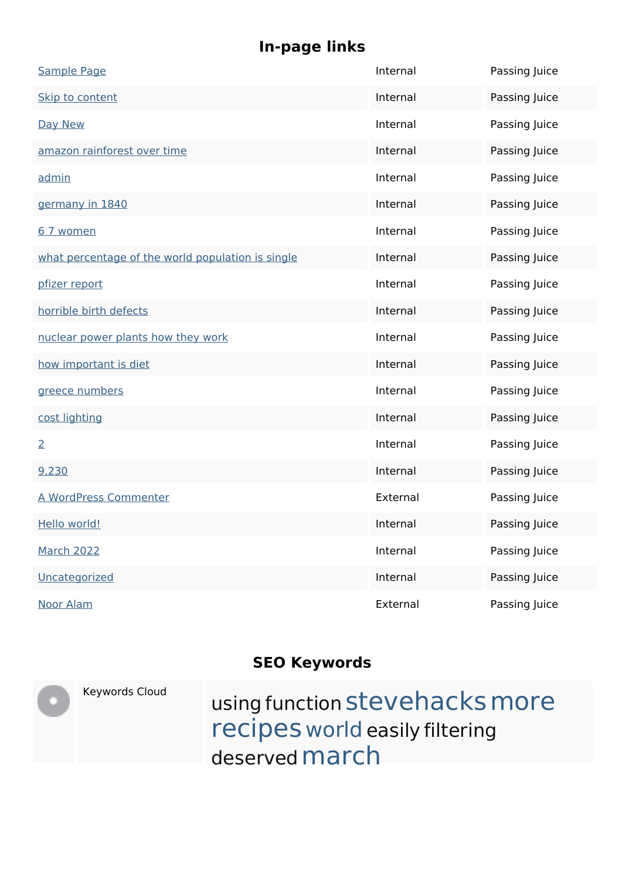# **In-page links**

| <b>Sample Page</b>                                | Internal | Passing Juice |
|---------------------------------------------------|----------|---------------|
| Skip to content                                   | Internal | Passing Juice |
| Day New                                           | Internal | Passing Juice |
| amazon rainforest over time                       | Internal | Passing Juice |
| admin                                             | Internal | Passing Juice |
| germany in 1840                                   | Internal | Passing Juice |
| 6 7 women                                         | Internal | Passing Juice |
| what percentage of the world population is single | Internal | Passing Juice |
| pfizer report                                     | Internal | Passing Juice |
| horrible birth defects                            | Internal | Passing Juice |
| nuclear power plants how they work                | Internal | Passing Juice |
| how important is diet                             | Internal | Passing Juice |
| greece numbers                                    | Internal | Passing Juice |
| cost lighting                                     | Internal | Passing Juice |
| $\overline{2}$                                    | Internal | Passing Juice |
| 9,230                                             | Internal | Passing Juice |
| A WordPress Commenter                             | External | Passing Juice |
| Hello world!                                      | Internal | Passing Juice |
| <b>March 2022</b>                                 | Internal | Passing Juice |
| Uncategorized                                     | Internal | Passing Juice |
| <b>Noor Alam</b>                                  | External | Passing Juice |

## **SEO Keywords**

| Keywords Cloud | using function stevehacks more<br>recipes world easily filtering<br>deserved march |
|----------------|------------------------------------------------------------------------------------|
|                |                                                                                    |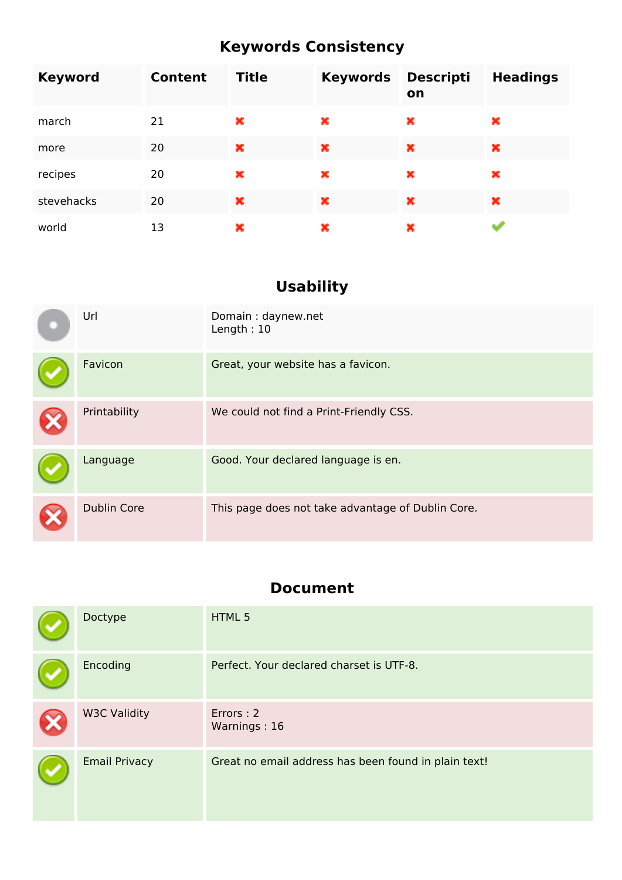## **Keywords Consistency**

| <b>Keyword</b> | Content | <b>Title</b> | <b>Keywords</b> | <b>Descripti</b><br>on | <b>Headings</b> |
|----------------|---------|--------------|-----------------|------------------------|-----------------|
| march          | 21      | ×            | ×               | ×                      | ×               |
| more           | 20      | ×            | ×               | ×                      | ×               |
| recipes        | 20      | ×            | ×               | ×                      | ×               |
| stevehacks     | 20      | ×            | ×               | ×                      | ×               |
| world          | 13      | ×            | ×               | ×                      |                 |

# **Usability**

| Url                | Domain: daynew.net<br>Length: $10$                |
|--------------------|---------------------------------------------------|
| Favicon            | Great, your website has a favicon.                |
| Printability       | We could not find a Print-Friendly CSS.           |
| Language           | Good. Your declared language is en.               |
| <b>Dublin Core</b> | This page does not take advantage of Dublin Core. |

### **Document**

| Doctype              | HTML 5                                               |
|----------------------|------------------------------------------------------|
| Encoding             | Perfect. Your declared charset is UTF-8.             |
| <b>W3C Validity</b>  | Errors: 2<br>Warnings: 16                            |
| <b>Email Privacy</b> | Great no email address has been found in plain text! |